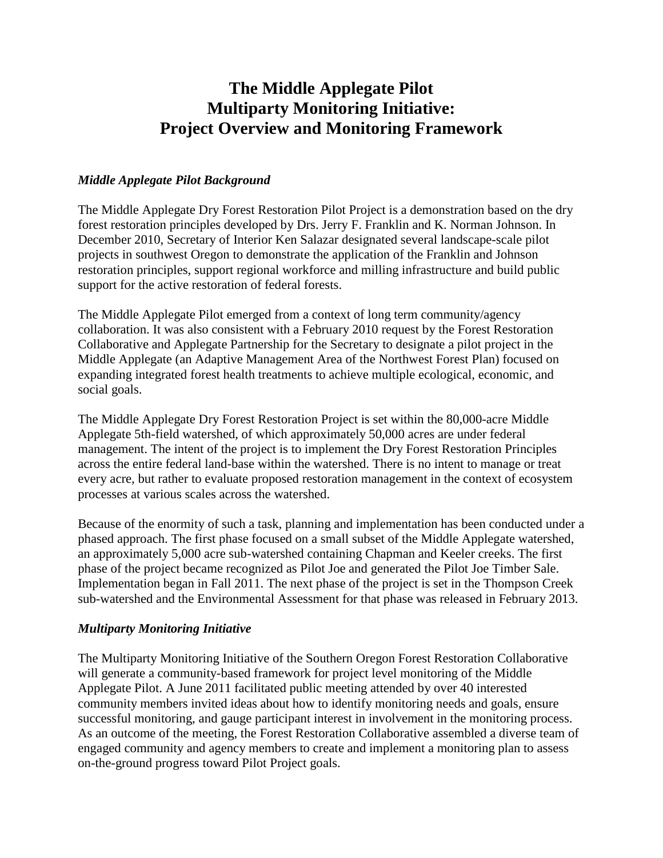# **The Middle Applegate Pilot Multiparty Monitoring Initiative: Project Overview and Monitoring Framework**

#### *Middle Applegate Pilot Background*

The Middle Applegate Dry Forest Restoration Pilot Project is a demonstration based on the dry forest restoration principles developed by Drs. Jerry F. Franklin and K. Norman Johnson. In December 2010, Secretary of Interior Ken Salazar designated several landscape-scale pilot projects in southwest Oregon to demonstrate the application of the Franklin and Johnson restoration principles, support regional workforce and milling infrastructure and build public support for the active restoration of federal forests.

The Middle Applegate Pilot emerged from a context of long term community/agency collaboration. It was also consistent with a February 2010 request by the Forest Restoration Collaborative and Applegate Partnership for the Secretary to designate a pilot project in the Middle Applegate (an Adaptive Management Area of the Northwest Forest Plan) focused on expanding integrated forest health treatments to achieve multiple ecological, economic, and social goals.

The Middle Applegate Dry Forest Restoration Project is set within the 80,000-acre Middle Applegate 5th-field watershed, of which approximately 50,000 acres are under federal management. The intent of the project is to implement the Dry Forest Restoration Principles across the entire federal land-base within the watershed. There is no intent to manage or treat every acre, but rather to evaluate proposed restoration management in the context of ecosystem processes at various scales across the watershed.

Because of the enormity of such a task, planning and implementation has been conducted under a phased approach. The first phase focused on a small subset of the Middle Applegate watershed, an approximately 5,000 acre sub-watershed containing Chapman and Keeler creeks. The first phase of the project became recognized as Pilot Joe and generated the Pilot Joe Timber Sale. Implementation began in Fall 2011. The next phase of the project is set in the Thompson Creek sub-watershed and the Environmental Assessment for that phase was released in February 2013.

#### *Multiparty Monitoring Initiative*

The Multiparty Monitoring Initiative of the Southern Oregon Forest Restoration Collaborative will generate a community-based framework for project level monitoring of the Middle Applegate Pilot. A June 2011 facilitated public meeting attended by over 40 interested community members invited ideas about how to identify monitoring needs and goals, ensure successful monitoring, and gauge participant interest in involvement in the monitoring process. As an outcome of the meeting, the Forest Restoration Collaborative assembled a diverse team of engaged community and agency members to create and implement a monitoring plan to assess on-the-ground progress toward Pilot Project goals.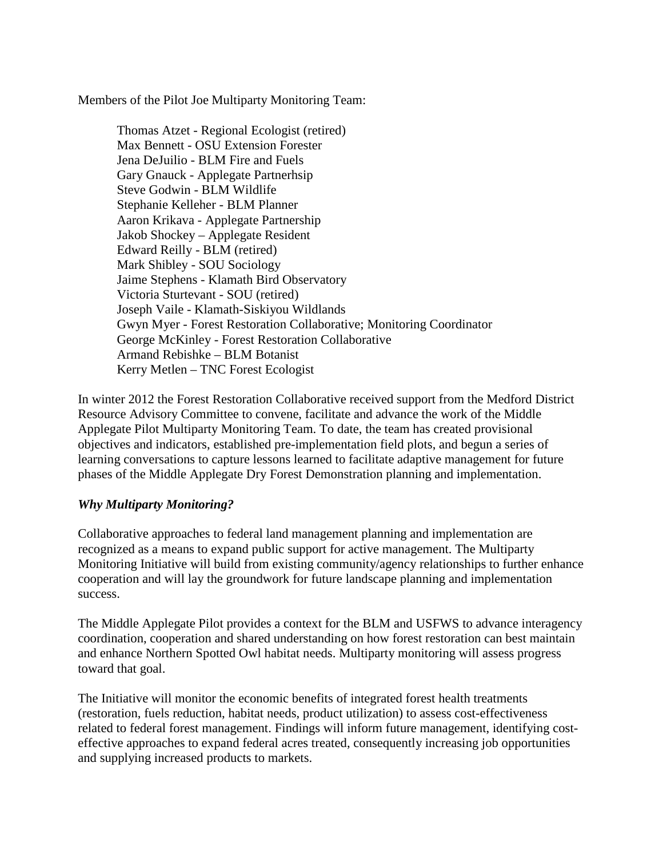Members of the Pilot Joe Multiparty Monitoring Team:

Thomas Atzet - Regional Ecologist (retired) Max Bennett - OSU Extension Forester Jena DeJuilio - BLM Fire and Fuels Gary Gnauck - Applegate Partnerhsip Steve Godwin - BLM Wildlife Stephanie Kelleher - BLM Planner Aaron Krikava - Applegate Partnership Jakob Shockey – Applegate Resident Edward Reilly - BLM (retired) Mark Shibley - SOU Sociology Jaime Stephens - Klamath Bird Observatory Victoria Sturtevant - SOU (retired) Joseph Vaile - Klamath-Siskiyou Wildlands Gwyn Myer - Forest Restoration Collaborative; Monitoring Coordinator George McKinley - Forest Restoration Collaborative Armand Rebishke – BLM Botanist Kerry Metlen – TNC Forest Ecologist

In winter 2012 the Forest Restoration Collaborative received support from the Medford District Resource Advisory Committee to convene, facilitate and advance the work of the Middle Applegate Pilot Multiparty Monitoring Team. To date, the team has created provisional objectives and indicators, established pre-implementation field plots, and begun a series of learning conversations to capture lessons learned to facilitate adaptive management for future phases of the Middle Applegate Dry Forest Demonstration planning and implementation.

### *Why Multiparty Monitoring?*

Collaborative approaches to federal land management planning and implementation are recognized as a means to expand public support for active management. The Multiparty Monitoring Initiative will build from existing community/agency relationships to further enhance cooperation and will lay the groundwork for future landscape planning and implementation success.

The Middle Applegate Pilot provides a context for the BLM and USFWS to advance interagency coordination, cooperation and shared understanding on how forest restoration can best maintain and enhance Northern Spotted Owl habitat needs. Multiparty monitoring will assess progress toward that goal.

The Initiative will monitor the economic benefits of integrated forest health treatments (restoration, fuels reduction, habitat needs, product utilization) to assess cost-effectiveness related to federal forest management. Findings will inform future management, identifying costeffective approaches to expand federal acres treated, consequently increasing job opportunities and supplying increased products to markets.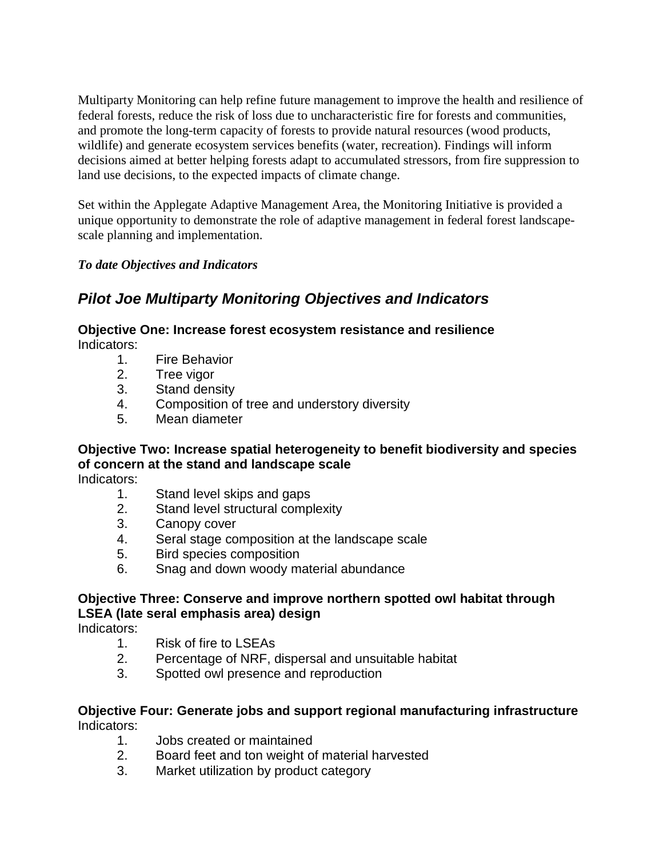Multiparty Monitoring can help refine future management to improve the health and resilience of federal forests, reduce the risk of loss due to uncharacteristic fire for forests and communities, and promote the long-term capacity of forests to provide natural resources (wood products, wildlife) and generate ecosystem services benefits (water, recreation). Findings will inform decisions aimed at better helping forests adapt to accumulated stressors, from fire suppression to land use decisions, to the expected impacts of climate change.

Set within the Applegate Adaptive Management Area, the Monitoring Initiative is provided a unique opportunity to demonstrate the role of adaptive management in federal forest landscapescale planning and implementation.

### *To date Objectives and Indicators*

## *Pilot Joe Multiparty Monitoring Objectives and Indicators*

### **Objective One: Increase forest ecosystem resistance and resilience**

Indicators:

- 1. Fire Behavior
- 2. Tree vigor
- 3. Stand density
- 4. Composition of tree and understory diversity
- 5. Mean diameter

## **Objective Two: Increase spatial heterogeneity to benefit biodiversity and species of concern at the stand and landscape scale**

Indicators:

- 1. Stand level skips and gaps
- 2. Stand level structural complexity
- 3. Canopy cover
- 4. Seral stage composition at the landscape scale
- 5. Bird species composition
- 6. Snag and down woody material abundance

### **Objective Three: Conserve and improve northern spotted owl habitat through LSEA (late seral emphasis area) design**

Indicators:

- 1. Risk of fire to LSEAs
- 2. Percentage of NRF, dispersal and unsuitable habitat
- 3. Spotted owl presence and reproduction

### **Objective Four: Generate jobs and support regional manufacturing infrastructure** Indicators:

- 1. Jobs created or maintained
- 2. Board feet and ton weight of material harvested
- 3. Market utilization by product category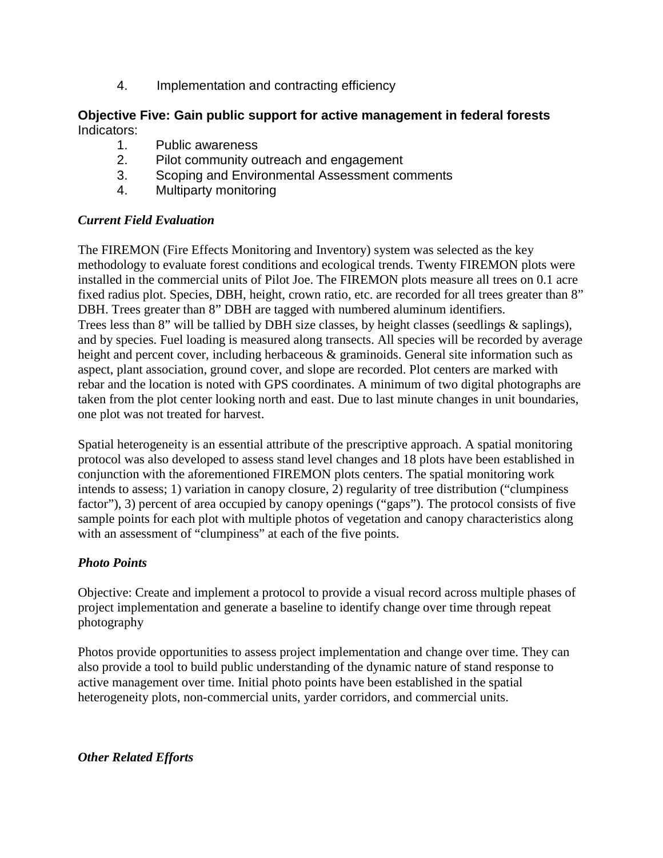4. Implementation and contracting efficiency

### **Objective Five: Gain public support for active management in federal forests** Indicators:

- 1. Public awareness
- 2. Pilot community outreach and engagement
- 3. Scoping and Environmental Assessment comments
- 4. Multiparty monitoring

### *Current Field Evaluation*

The FIREMON (Fire Effects Monitoring and Inventory) system was selected as the key methodology to evaluate forest conditions and ecological trends. Twenty FIREMON plots were installed in the commercial units of Pilot Joe. The FIREMON plots measure all trees on 0.1 acre fixed radius plot. Species, DBH, height, crown ratio, etc. are recorded for all trees greater than 8" DBH. Trees greater than 8" DBH are tagged with numbered aluminum identifiers. Trees less than 8" will be tallied by DBH size classes, by height classes (seedlings & saplings), and by species. Fuel loading is measured along transects. All species will be recorded by average height and percent cover, including herbaceous & graminoids. General site information such as aspect, plant association, ground cover, and slope are recorded. Plot centers are marked with rebar and the location is noted with GPS coordinates. A minimum of two digital photographs are taken from the plot center looking north and east. Due to last minute changes in unit boundaries, one plot was not treated for harvest.

Spatial heterogeneity is an essential attribute of the prescriptive approach. A spatial monitoring protocol was also developed to assess stand level changes and 18 plots have been established in conjunction with the aforementioned FIREMON plots centers. The spatial monitoring work intends to assess; 1) variation in canopy closure, 2) regularity of tree distribution ("clumpiness factor"), 3) percent of area occupied by canopy openings ("gaps"). The protocol consists of five sample points for each plot with multiple photos of vegetation and canopy characteristics along with an assessment of "clumpiness" at each of the five points.

### *Photo Points*

Objective: Create and implement a protocol to provide a visual record across multiple phases of project implementation and generate a baseline to identify change over time through repeat photography

Photos provide opportunities to assess project implementation and change over time. They can also provide a tool to build public understanding of the dynamic nature of stand response to active management over time. Initial photo points have been established in the spatial heterogeneity plots, non-commercial units, yarder corridors, and commercial units.

### *Other Related Efforts*